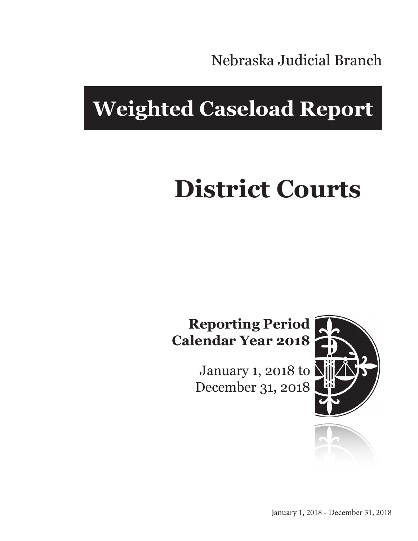Nebraska Judicial Branch

## **Weighted Caseload Report**

# **District Courts**

## **Reporting Period Calendar Year 2018**

January 1, 2018 to December 31, 2018



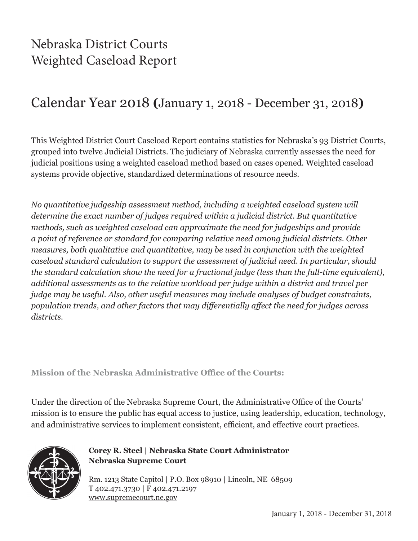## Nebraska District Courts Weighted Caseload Report

## Calendar Year 2018 **(**January 1, 2018 - December 31, 2018**)**

This Weighted District Court Caseload Report contains statistics for Nebraska's 93 District Courts, grouped into twelve Judicial Districts. The judiciary of Nebraska currently assesses the need for judicial positions using a weighted caseload method based on cases opened. Weighted caseload systems provide objective, standardized determinations of resource needs.

*No quantitative judgeship assessment method, including a weighted caseload system will determine the exact number of judges required within a judicial district. But quantitative methods, such as weighted caseload can approximate the need for judgeships and provide a point of reference or standard for comparing relative need among judicial districts. Other measures, both qualitative and quantitative, may be used in conjunction with the weighted caseload standard calculation to support the assessment of judicial need. In particular, should the standard calculation show the need for a fractional judge (less than the full-time equivalent), additional assessments as to the relative workload per judge within a district and travel per judge may be useful. Also, other useful measures may include analyses of budget constraints, population trends, and other factors that may differentially affect the need for judges across districts.*

**Mission of the Nebraska Administrative Office of the Courts:**

Under the direction of the Nebraska Supreme Court, the Administrative Office of the Courts' mission is to ensure the public has equal access to justice, using leadership, education, technology, and administrative services to implement consistent, efficient, and effective court practices.



**Corey R. Steel | Nebraska State Court Administrator Nebraska Supreme Court**

Rm. 1213 State Capitol | P.O. Box 98910 | Lincoln, NE 68509 T 402.471.3730 | F 402.471.2197 www.supremecourt.ne.gov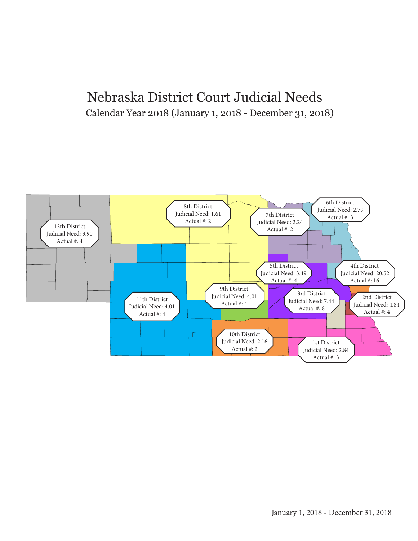## Nebraska District Court Judicial Needs Calendar Year 2018 (January 1, 2018 - December 31, 2018)

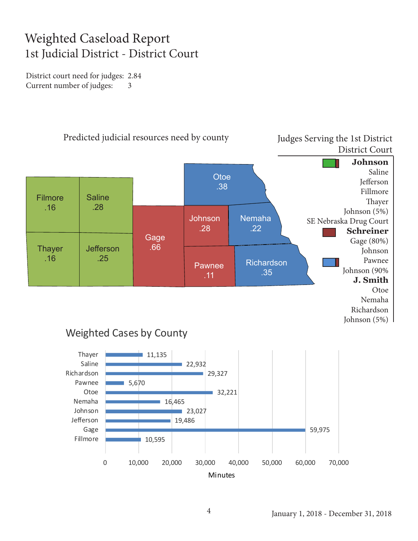## Weighted Caseload Report 1st Judicial District - District Court

District court need for judges: 2.84 Current number of judges: 3



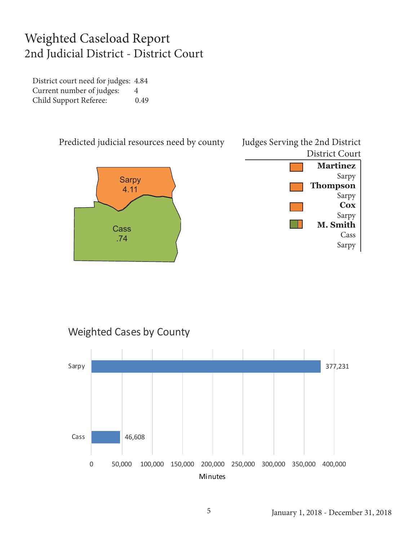#### Weighted Caseload Report 2nd Judicial District - District Court

District court need for judges: 4.84 Current number of judges: 4 Child Support Referee: 0.49







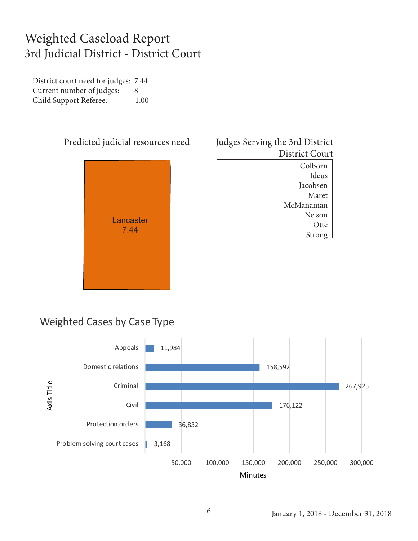## Weighted Caseload Report 3rd Judicial District - District Court

District court need for judges: 7.44 Current number of judges: 8 Child Support Referee: 1.00



#### Judges Serving the 3rd District District Court

Colborn Ideus Jacobsen Maret McManaman Nelson **Otte** Strong

#### Weighted Cases by Case Type

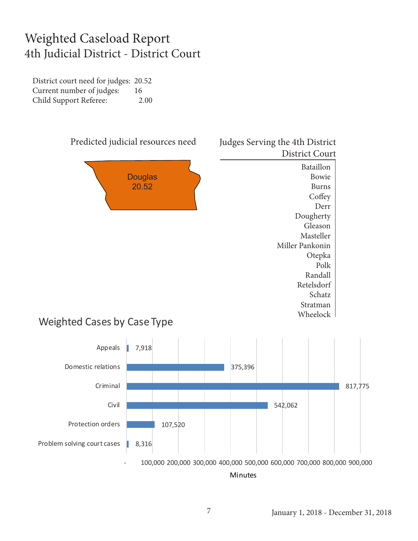#### Weighted Caseload Report 4th Judicial District - District Court

District court need for judges: 20.52 Current number of judges: 16 Child Support Referee: 2.00



 - 100,000 200,000 300,000 400,000 500,000 600,000 700,000 800,000 900,000 Minutes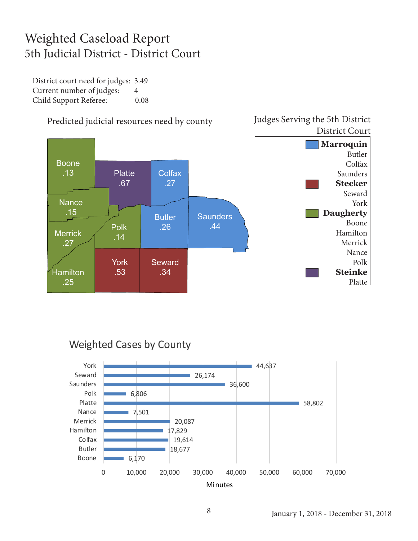## Weighted Caseload Report 5th Judicial District - District Court

District court need for judges: 3.49 Current number of judges: 4 Child Support Referee: 0.08



#### Predicted judicial resources need by county

#### Weighted Cases by County



Judges Serving the 5th District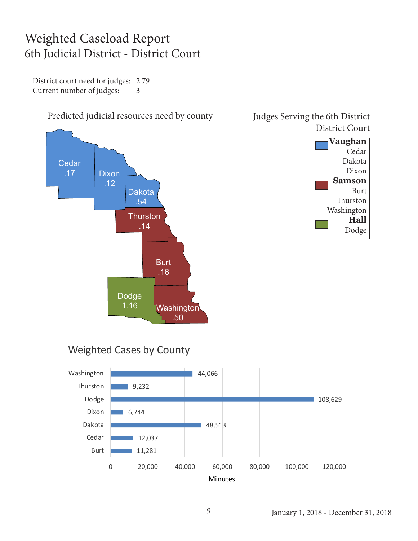## Weighted Caseload Report 6th Judicial District - District Court

District court need for judges: 2.79 Current number of judges: 3





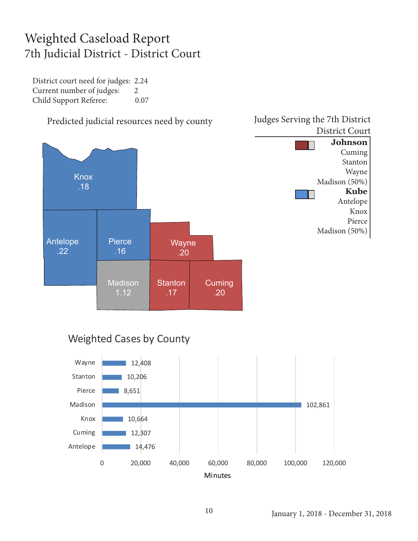## Weighted Caseload Report 7th Judicial District - District Court

District court need for judges: 2.24 Current number of judges: 2 Child Support Referee: 0.07



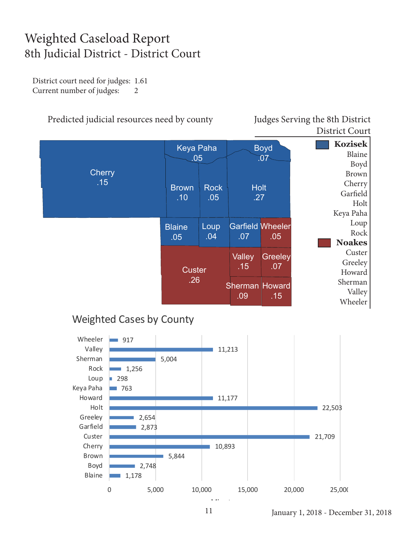## Weighted Caseload Report 8th Judicial District - District Court

District court need for judges: 1.61 Current number of judges: 2

#### Predicted judicial resources need by county Judges Serving the 8th District

District Court

|                      | Keya Paha<br>.05     |                    | <b>Boyd</b><br>$\overline{.07}$ |                | <b>Kozisek</b><br>Blaine<br>Boyd                        |
|----------------------|----------------------|--------------------|---------------------------------|----------------|---------------------------------------------------------|
| <b>Cherry</b><br>.15 | <b>Brown</b><br>.10  | <b>Rock</b><br>.05 | <b>Holt</b><br>.27              |                | <b>Brown</b><br>Cherry<br>Garfield<br>Holt<br>Keya Paha |
|                      | <b>Blaine</b><br>.05 | Loup<br>.04        | <b>Garfield Wheeler</b><br>.07  | .05            | Loup<br>Rock<br><b>Noakes</b>                           |
|                      | <b>Custer</b><br>.26 |                    | <b>Valley</b><br>.15            | Greeley<br>.07 | Custer<br>Greeley<br>Howard                             |
|                      |                      |                    | <b>Sherman Howard</b><br>.09    | .15            | Sherman<br>Valley<br>Wheeler                            |

#### Weighted Cases by County



January 1, 2018 - December 31, 2018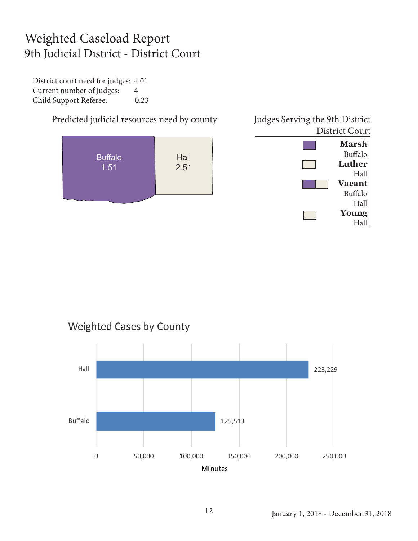## Weighted Caseload Report 9th Judicial District - District Court

District court need for judges: 4.01 Current number of judges: 4 Child Support Referee: 0.23



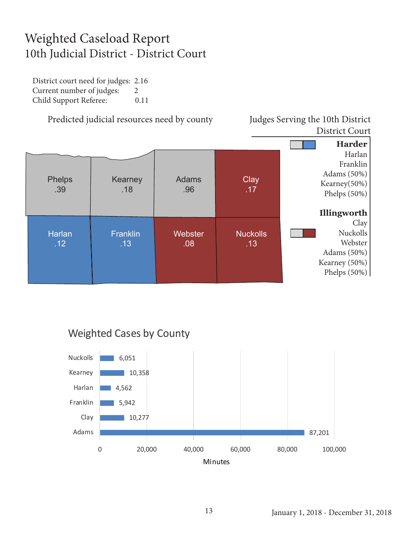## Weighted Caseload Report 10th Judicial District - District Court

District court need for judges: 2.16 Current number of judges: 2 Child Support Referee: 0.11

Predicted judicial resources need by county Judges Serving the 10th District

## District Court



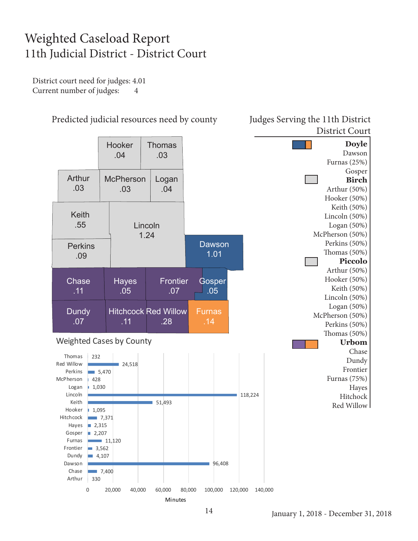## Weighted Caseload Report 11th Judicial District - District Court

District court need for judges: 4.01 Current number of judges: 4



Predicted judicial resources need by county Judges Serving the 11th District

Minutes